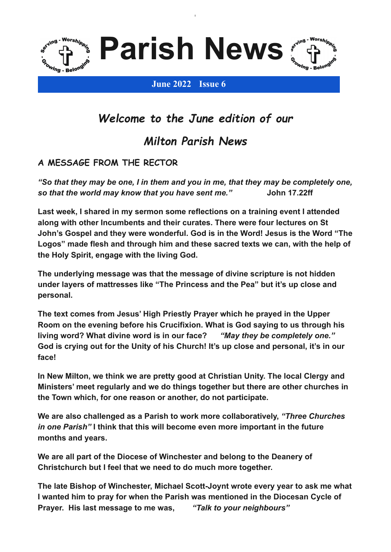

**Parish News**

**l**



### **June 2022 Issue 6**

# *Welcome to the June edition of our*

## *Milton Parish News*

## **A MESSAGE FROM THE RECTOR**

*"So that they may be one, I in them and you in me, that they may be completely one, so that the world may know that you have sent me."* **John 17.22ff**

**Last week, I shared in my sermon some reflections on a training event I attended along with other Incumbents and their curates. There were four lectures on St John's Gospel and they were wonderful. God is in the Word! Jesus is the Word "The Logos" made flesh and through him and these sacred texts we can, with the help of the Holy Spirit, engage with the living God.**

**The underlying message was that the message of divine scripture is not hidden under layers of mattresses like "The Princess and the Pea" but it's up close and personal.**

**The text comes from Jesus' High Priestly Prayer which he prayed in the Upper Room on the evening before his Crucifixion. What is God saying to us through his living word? What divine word is in our face?** *"May they be completely one."* **God is crying out for the Unity of his Church! It's up close and personal, it's in our face!**

**In New Milton, we think we are pretty good at Christian Unity. The local Clergy and Ministers' meet regularly and we do things together but there are other churches in the Town which, for one reason or another, do not participate.**

**We are also challenged as a Parish to work more collaboratively,** *"Three Churches in one Parish"* **I think that this will become even more important in the future months and years.**

**We are all part of the Diocese of Winchester and belong to the Deanery of Christchurch but I feel that we need to do much more together.**

**The late Bishop of Winchester, Michael Scott-Joynt wrote every year to ask me what I wanted him to pray for when the Parish was mentioned in the Diocesan Cycle of Prayer. His last message to me was,** *"Talk to your neighbours"*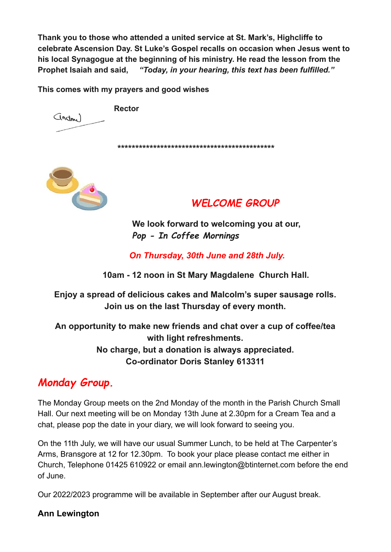**Thank you to those who attended a united service at St. Mark's, Highcliffe to celebrate Ascension Day. St Luke's Gospel recalls on occasion when Jesus went to his local Synagogue at the beginning of his ministry. He read the lesson from the Prophet Isaiah and said,** *"Today, in your hearing, this text has been fulfilled."*

**This comes with my prayers and good wishes**

**Rector**

**\*\*\*\*\*\*\*\*\*\*\*\*\*\*\*\*\*\*\*\*\*\*\*\*\*\*\*\*\*\*\*\*\*\*\*\*\*\*\*\*\*\*\*\***



(Indm)

## *WELCOME GROUP*

**We look forward to welcoming you at our,** *Pop - In Coffee Mornings*

*On Thursday, 30th June and 28th July.*

**10am - 12 noon in St Mary Magdalene Church Hall.**

**Enjoy a spread of delicious cakes and Malcolm's super sausage rolls. Join us on the last Thursday of every month.**

**An opportunity to make new friends and chat over a cup of coffee/tea with light refreshments. No charge, but a donation is always appreciated. Co-ordinator Doris Stanley 613311**

# *Monday Group.*

The Monday Group meets on the 2nd Monday of the month in the Parish Church Small Hall. Our next meeting will be on Monday 13th June at 2.30pm for a Cream Tea and a chat, please pop the date in your diary, we will look forward to seeing you.

On the 11th July, we will have our usual Summer Lunch, to be held at The Carpenter's Arms, Bransgore at 12 for 12.30pm. To book your place please contact me either in Church, Telephone 01425 610922 or email ann.lewington@btinternet.com before the end of June.

Our 2022/2023 programme will be available in September after our August break.

**Ann Lewington**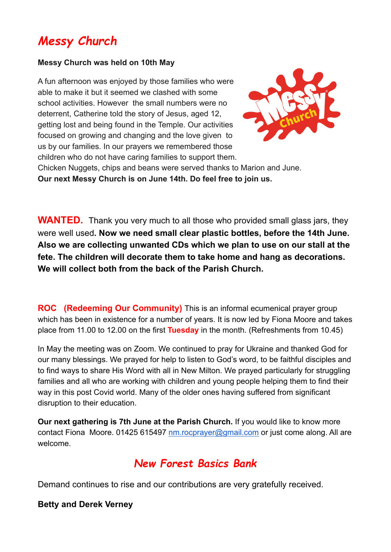# *Messy Church*

### **Messy Church was held on 10th May**

A fun afternoon was enjoyed by those families who were able to make it but it seemed we clashed with some school activities. However the small numbers were no deterrent, Catherine told the story of Jesus, aged 12, getting lost and being found in the Temple. Our activities focused on growing and changing and the love given to us by our families. In our prayers we remembered those children who do not have caring families to support them.



Chicken Nuggets, chips and beans were served thanks to Marion and June. **Our next Messy Church is on June 14th. Do feel free to join us.**

**WANTED.** Thank you very much to all those who provided small glass jars, they were well used**. Now we need small clear plastic bottles, before the 14th June. Also we are collecting unwanted CDs which we plan to use on our stall at the fete. The children will decorate them to take home and hang as decorations. We will collect both from the back of the Parish Church.**

**ROC (Redeeming Our Community)** This is an informal ecumenical prayer group which has been in existence for a number of years. It is now led by Fiona Moore and takes place from 11.00 to 12.00 on the first **Tuesday** in the month. (Refreshments from 10.45)

In May the meeting was on Zoom. We continued to pray for Ukraine and thanked God for our many blessings. We prayed for help to listen to God's word, to be faithful disciples and to find ways to share His Word with all in New Milton. We prayed particularly for struggling families and all who are working with children and young people helping them to find their way in this post Covid world. Many of the older ones having suffered from significant disruption to their education.

**Our next gathering is 7th June at the Parish Church.** If you would like to know more contact Fiona Moore. 01425 615497 [nm.rocprayer@gmail.com](mailto:nm.rocprayer@gmail.com) or just come along. All are welcome.

# *New Forest Basics Bank*

Demand continues to rise and our contributions are very gratefully received.

## **Betty and Derek Verney**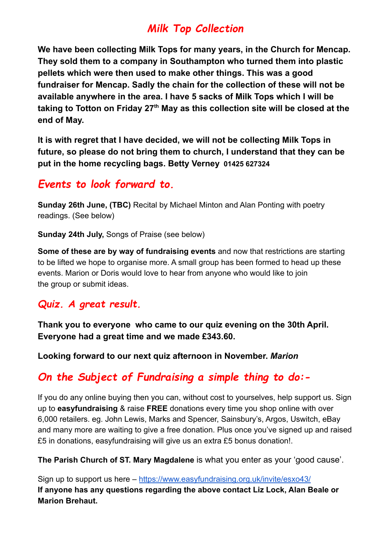# *Milk Top Collection*

**We have been collecting Milk Tops for many years, in the Church for Mencap. They sold them to a company in Southampton who turned them into plastic pellets which were then used to make other things. This was a good fundraiser for Mencap. Sadly the chain for the collection of these will not be available anywhere in the area. I have 5 sacks of Milk Tops which I will be taking to Totton on Friday 27 th May as this collection site will be closed at the end of May.**

**It is with regret that I have decided, we will not be collecting Milk Tops in future, so please do not bring them to church, I understand that they can be put in the home recycling bags. Betty Verney 01425 627324**

## *Events to look forward to.*

**Sunday 26th June, (TBC)** Recital by Michael Minton and Alan Ponting with poetry readings. (See below)

**Sunday 24th July,** Songs of Praise (see below)

**Some of these are by way of fundraising events** and now that restrictions are starting to be lifted we hope to organise more. A small group has been formed to head up these events. Marion or Doris would love to hear from anyone who would like to join the group or submit ideas.

## *Quiz. A great result.*

**Thank you to everyone who came to our quiz evening on the 30th April. Everyone had a great time and we made £343.60.**

**Looking forward to our next quiz afternoon in November.** *Marion*

## *On the Subject of Fundraising a simple thing to do:-*

If you do any online buying then you can, without cost to yourselves, help support us. Sign up to **easyfundraising** & raise **FREE** donations every time you shop online with over 6,000 retailers. eg. John Lewis, Marks and Spencer, Sainsbury's, Argos, Uswitch, eBay and many more are waiting to give a free donation. Plus once you've signed up and raised £5 in donations, easyfundraising will give us an extra £5 bonus donation!.

**The Parish Church of ST. Mary Magdalene** is what you enter as your 'good cause'.

Sign up to support us here – <https://www.easyfundraising.org.uk/invite/esxo43/> **If anyone has any questions regarding the above contact Liz Lock, Alan Beale or Marion Brehaut.**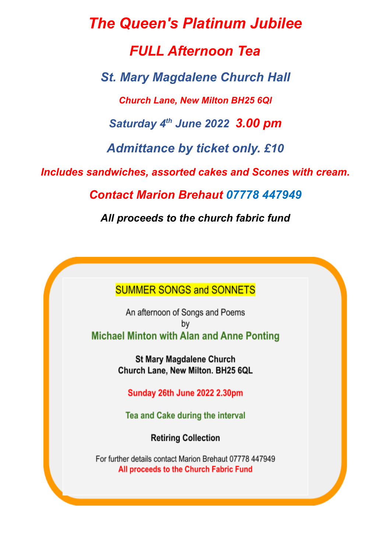*The Queen's Platinum Jubilee FULL Afternoon Tea St. Mary Magdalene Church Hall Church Lane, New Milton BH25 6Ql Saturday 4 th June 2022 3.00 pm Admittance by ticket only. £10 Includes sandwiches, assorted cakes and Scones with cream. Contact Marion Brehaut 07778 447949 All proceeds to the church fabric fund*

**SUMMER SONGS and SONNETS** 

An afternoon of Songs and Poems bv **Michael Minton with Alan and Anne Ponting** 

> **St Mary Magdalene Church** Church Lane, New Milton. BH25 6QL

**Sunday 26th June 2022 2.30pm** 

Tea and Cake during the interval

**Retiring Collection** 

For further details contact Marion Brehaut 07778 447949 All proceeds to the Church Fabric Fund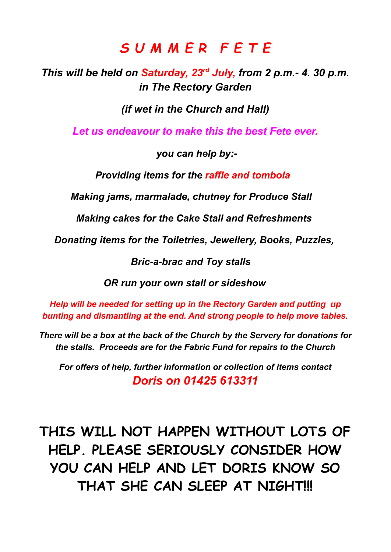# *S U M M E R F E T E*

*This will be held on Saturday, 23 rd July, from 2 p.m.- 4. 30 p.m. in The Rectory Garden*

*(if wet in the Church and Hall)*

*Let us endeavour to make this the best Fete ever.*

*you can help by:-*

*Providing items for the raffle and tombola*

*Making jams, marmalade, chutney for Produce Stall*

*Making cakes for the Cake Stall and Refreshments*

*Donating items for the Toiletries, Jewellery, Books, Puzzles,*

*Bric-a-brac and Toy stalls*

*OR run your own stall or sideshow*

*Help will be needed for setting up in the Rectory Garden and putting up bunting and dismantling at the end. And strong people to help move tables.*

*There will be a box at the back of the Church by the Servery for donations for the stalls. Proceeds are for the Fabric Fund for repairs to the Church*

*For offers of help, further information or collection of items contact Doris on 01425 613311*

**THIS WILL NOT HAPPEN WITHOUT LOTS OF HELP. PLEASE SERIOUSLY CONSIDER HOW YOU CAN HELP AND LET DORIS KNOW SO THAT SHE CAN SLEEP AT NIGHT!!!**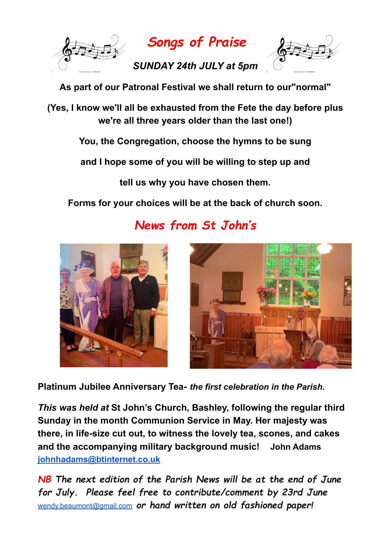

*Songs of Praise*

*SUNDAY 24th JULY at 5pm*



**As part of our Patronal Festival we shall return to our"normal"**

**(Yes, I know we'll all be exhausted from the Fete the day before plus we're all three years older than the last one!)**

**You, the Congregation, choose the hymns to be sung**

**and I hope some of you will be willing to step up and**

**tell us why you have chosen them.**

**Forms for your choices will be at the back of church soon.**



*News from St John's*



**Platinum Jubilee Anniversary Tea-** *the first celebration in the Parish.*

*This was held at* **St John's Church, Bashley, following the regular third Sunday in the month Communion Service in May. Her majesty was there, in life-size cut out, to witness the lovely tea, scones, and cakes and the accompanying military background music! John Adams [johnhadams@btinternet.co.uk](mailto:johnhadams@btinternet.co.uk)**

*NB The next edition of the Parish News will be at the end of June for July. Please feel free to contribute/comment by 23rd June* [wendy.beaumont@gmail.com](mailto:wendy.beaumont@gmail.com) *or hand written on old fashioned paper!*